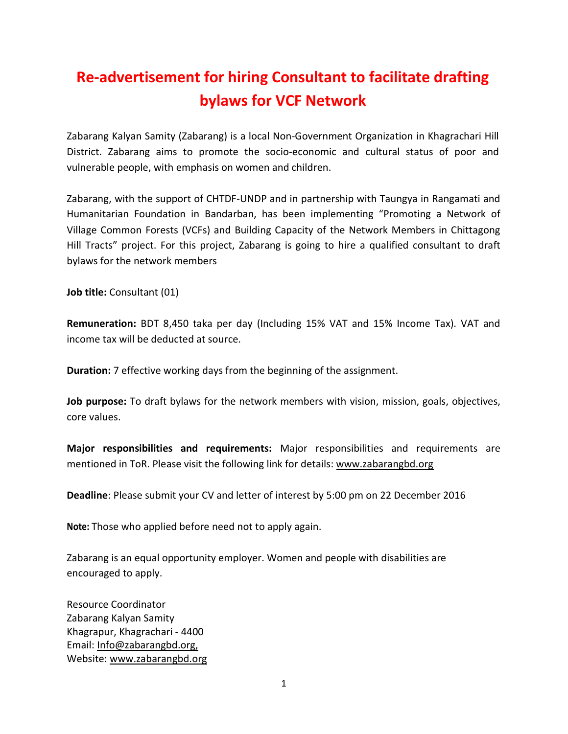# Re-advertisement for hiring Consultant to facilitate drafting bylaws for VCF Network

Zabarang Kalyan Samity (Zabarang) is a local Non-Government Organization in Khagrachari Hill District. Zabarang aims to promote the socio-economic and cultural status of poor and vulnerable people, with emphasis on women and children.

Zabarang, with the support of CHTDF-UNDP and in partnership with Taungya in Rangamati and Humanitarian Foundation in Bandarban, has been implementing "Promoting a Network of Village Common Forests (VCFs) and Building Capacity of the Network Members in Chittagong Hill Tracts" project. For this project, Zabarang is going to hire a qualified consultant to draft bylaws for the network members

Job title: Consultant (01)

Remuneration: BDT 8,450 taka per day (Including 15% VAT and 15% Income Tax). VAT and income tax will be deducted at source.

Duration: 7 effective working days from the beginning of the assignment.

Job purpose: To draft bylaws for the network members with vision, mission, goals, objectives, core values.

Major responsibilities and requirements: Major responsibilities and requirements are mentioned in ToR. Please visit the following link for details: www.zabarangbd.org

Deadline: Please submit your CV and letter of interest by 5:00 pm on 22 December 2016

Note: Those who applied before need not to apply again.

Zabarang is an equal opportunity employer. Women and people with disabilities are encouraged to apply.

Resource Coordinator Zabarang Kalyan Samity Khagrapur, Khagrachari - 4400 Email: Info@zabarangbd.org, Website: www.zabarangbd.org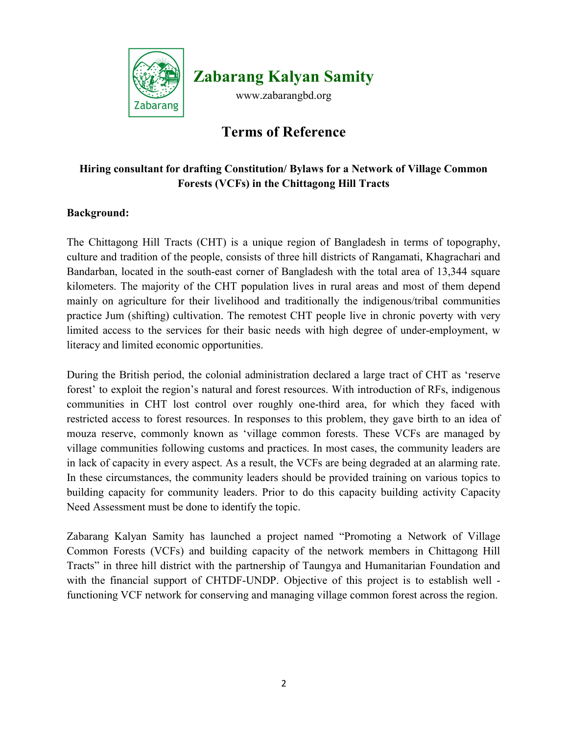

Zabarang Kalyan Samity

www.zabarangbd.org

# Terms of Reference

# Hiring consultant for drafting Constitution/ Bylaws for a Network of Village Common Forests (VCFs) in the Chittagong Hill Tracts

# Background:

The Chittagong Hill Tracts (CHT) is a unique region of Bangladesh in terms of topography, culture and tradition of the people, consists of three hill districts of Rangamati, Khagrachari and Bandarban, located in the south-east corner of Bangladesh with the total area of 13,344 square kilometers. The majority of the CHT population lives in rural areas and most of them depend mainly on agriculture for their livelihood and traditionally the indigenous/tribal communities practice Jum (shifting) cultivation. The remotest CHT people live in chronic poverty with very limited access to the services for their basic needs with high degree of under-employment, w literacy and limited economic opportunities.

During the British period, the colonial administration declared a large tract of CHT as 'reserve forest' to exploit the region's natural and forest resources. With introduction of RFs, indigenous communities in CHT lost control over roughly one-third area, for which they faced with restricted access to forest resources. In responses to this problem, they gave birth to an idea of mouza reserve, commonly known as 'village common forests. These VCFs are managed by village communities following customs and practices. In most cases, the community leaders are in lack of capacity in every aspect. As a result, the VCFs are being degraded at an alarming rate. In these circumstances, the community leaders should be provided training on various topics to building capacity for community leaders. Prior to do this capacity building activity Capacity Need Assessment must be done to identify the topic.

Zabarang Kalyan Samity has launched a project named "Promoting a Network of Village Common Forests (VCFs) and building capacity of the network members in Chittagong Hill Tracts" in three hill district with the partnership of Taungya and Humanitarian Foundation and with the financial support of CHTDF-UNDP. Objective of this project is to establish well functioning VCF network for conserving and managing village common forest across the region.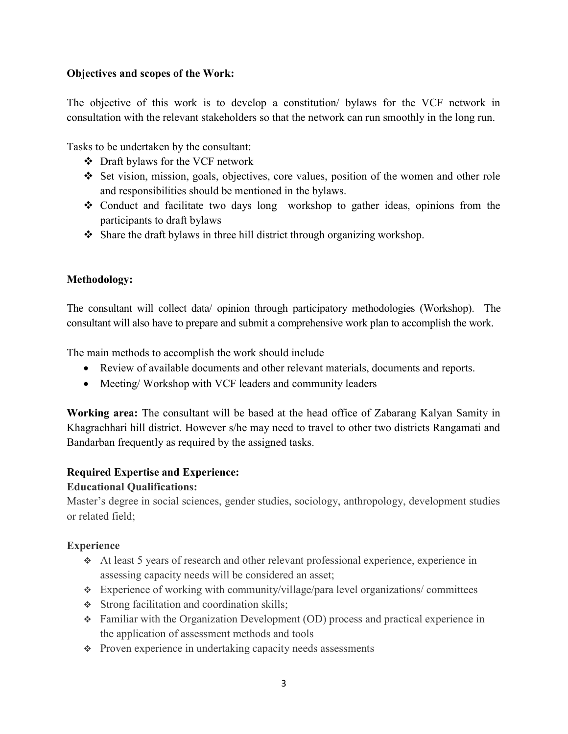#### Objectives and scopes of the Work:

The objective of this work is to develop a constitution/ bylaws for the VCF network in consultation with the relevant stakeholders so that the network can run smoothly in the long run.

Tasks to be undertaken by the consultant:

- Draft bylaws for the VCF network
- $\div$  Set vision, mission, goals, objectives, core values, position of the women and other role and responsibilities should be mentioned in the bylaws.
- Conduct and facilitate two days long workshop to gather ideas, opinions from the participants to draft bylaws
- $\triangle$  Share the draft bylaws in three hill district through organizing workshop.

# Methodology:

The consultant will collect data/ opinion through participatory methodologies (Workshop). The consultant will also have to prepare and submit a comprehensive work plan to accomplish the work.

The main methods to accomplish the work should include

- Review of available documents and other relevant materials, documents and reports.
- Meeting/Workshop with VCF leaders and community leaders

Working area: The consultant will be based at the head office of Zabarang Kalyan Samity in Khagrachhari hill district. However s/he may need to travel to other two districts Rangamati and Bandarban frequently as required by the assigned tasks.

# Required Expertise and Experience:

#### Educational Qualifications:

Master's degree in social sciences, gender studies, sociology, anthropology, development studies or related field;

# **Experience**

- At least 5 years of research and other relevant professional experience, experience in assessing capacity needs will be considered an asset;
- Experience of working with community/village/para level organizations/ committees
- Strong facilitation and coordination skills;
- Familiar with the Organization Development (OD) process and practical experience in the application of assessment methods and tools
- $\div$  Proven experience in undertaking capacity needs assessments